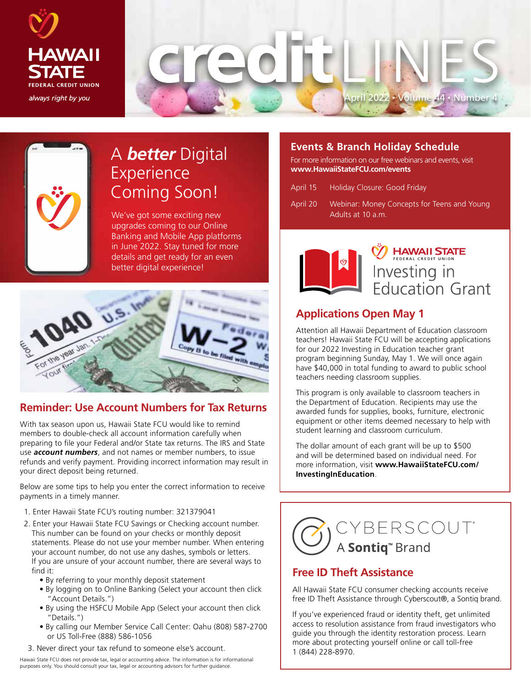



# A *better* Digital Experience Coming Soon!

We've got some exciting new upgrades coming to our Online Banking and Mobile App platforms in June 2022. Stay tuned for more details and get ready for an even better digital experience!



### **Reminder: Use Account Numbers for Tax Returns**

With tax season upon us, Hawaii State FCU would like to remind members to double-check all account information carefully when preparing to file your Federal and/or State tax returns. The IRS and State use *account numbers*, and not names or member numbers, to issue refunds and verify payment. Providing incorrect information may result in your direct deposit being returned.

Below are some tips to help you enter the correct information to receive payments in a timely manner.

- 1. Enter Hawaii State FCU's routing number: 321379041
- 2. Enter your Hawaii State FCU Savings or Checking account number. This number can be found on your checks or monthly deposit statements. Please do not use your member number. When entering your account number, do not use any dashes, symbols or letters. If you are unsure of your account number, there are several ways to find it:
	- By referring to your monthly deposit statement
	- By logging on to Online Banking (Select your account then click "Account Details.")
	- By using the HSFCU Mobile App (Select your account then click "Details.")
	- By calling our Member Service Call Center: Oahu (808) 587-2700 or US Toll-Free (888) 586-1056
- 3. Never direct your tax refund to someone else's account.

Hawaii State FCU does not provide tax, legal or accounting advice. The information is for informational purposes only. You should consult your tax, legal or accounting advisors for further guidance.

#### **Events & Branch Holiday Schedule**

For more information on our free webinars and events, visit **www.HawaiiStateFCU.com/events**

| April 15 | Holiday Closure: Good Friday |
|----------|------------------------------|
|----------|------------------------------|

April 20 Webinar: Money Concepts for Teens and Young Adults at 10 a.m.



**HAWAII STATE** Investing in<br>Education Grant

### **Applications Open May 1**

Attention all Hawaii Department of Education classroom teachers! Hawaii State FCU will be accepting applications for our 2022 Investing in Education teacher grant program beginning Sunday, May 1. We will once again have \$40,000 in total funding to award to public school teachers needing classroom supplies.

This program is only available to classroom teachers in the Department of Education. Recipients may use the awarded funds for supplies, books, furniture, electronic equipment or other items deemed necessary to help with student learning and classroom curriculum.

The dollar amount of each grant will be up to \$500 and will be determined based on individual need. For more information, visit **www.HawaiiStateFCU.com/ InvestingInEducation**.



#### **Free ID Theft Assistance**

All Hawaii State FCU consumer checking accounts receive free ID Theft Assistance through Cyberscout®, a Sontiq brand.

If you've experienced fraud or identity theft, get unlimited access to resolution assistance from fraud investigators who guide you through the identity restoration process. Learn more about protecting yourself online or call toll-free 1 (844) 228-8970.